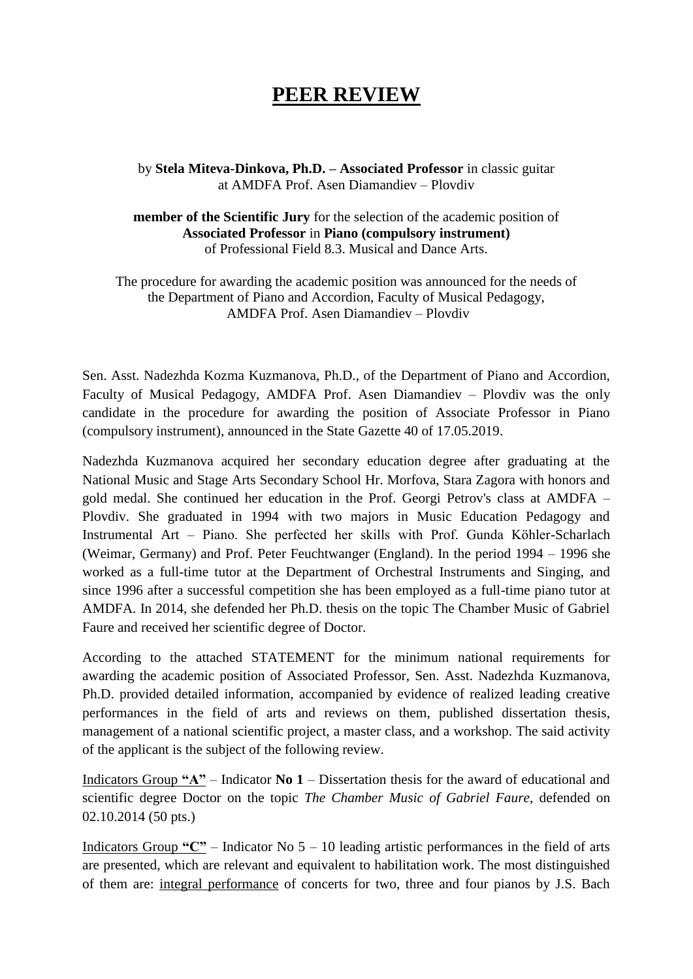## **PEER REVIEW**

by **Stela Miteva-Dinkova, Ph.D. – Associated Professor** in classic guitar at AMDFA Prof. Asen Diamandiev – Plovdiv

**member of the Scientific Jury** for the selection of the academic position of **Associated Professor** in **Piano (compulsory instrument)** of Professional Field 8.3. Musical and Dance Arts.

The procedure for awarding the academic position was announced for the needs of the Department of Piano and Accordion, Faculty of Musical Pedagogy, AMDFA Prof. Asen Diamandiev – Plovdiv

Sen. Asst. Nadezhda Kozma Kuzmanova, Ph.D., of the Department of Piano and Accordion, Faculty of Musical Pedagogy, AMDFA Prof. Asen Diamandiev – Plovdiv was the only candidate in the procedure for awarding the position of Associate Professor in Piano (compulsory instrument), announced in the State Gazette 40 of 17.05.2019.

Nadezhda Kuzmanova acquired her secondary education degree after graduating at the National Music and Stage Arts Secondary School Hr. Morfova, Stara Zagora with honors and gold medal. She continued her education in the Prof. Georgi Petrov's class at AMDFA – Plovdiv. She graduated in 1994 with two majors in Music Education Pedagogy and Instrumental Art – Piano. She perfected her skills with Prof. Gunda Köhler-Scharlach (Weimar, Germany) and Prof. Peter Feuchtwanger (England). In the period 1994 – 1996 she worked as a full-time tutor at the Department of Orchestral Instruments and Singing, and since 1996 after a successful competition she has been employed as a full-time piano tutor at AMDFA. In 2014, she defended her Ph.D. thesis on the topic The Chamber Music of Gabriel Faure and received her scientific degree of Doctor.

According to the attached STATEMENT for the minimum national requirements for awarding the academic position of Associated Professor, Sen. Asst. Nadezhda Kuzmanova, Ph.D. provided detailed information, accompanied by evidence of realized leading creative performances in the field of arts and reviews on them, published dissertation thesis, management of a national scientific project, a master class, and a workshop. The said activity of the applicant is the subject of the following review.

Indicators Group **"A"** – Indicator **No 1** – Dissertation thesis for the award of educational and scientific degree Doctor on the topic *The Chamber Music of Gabriel Faure*, defended on 02.10.2014 (50 pts.)

Indicators Group **"C"** – Indicator No 5 – 10 leading artistic performances in the field of arts are presented, which are relevant and equivalent to habilitation work. The most distinguished of them are: integral performance of concerts for two, three and four pianos by J.S. Bach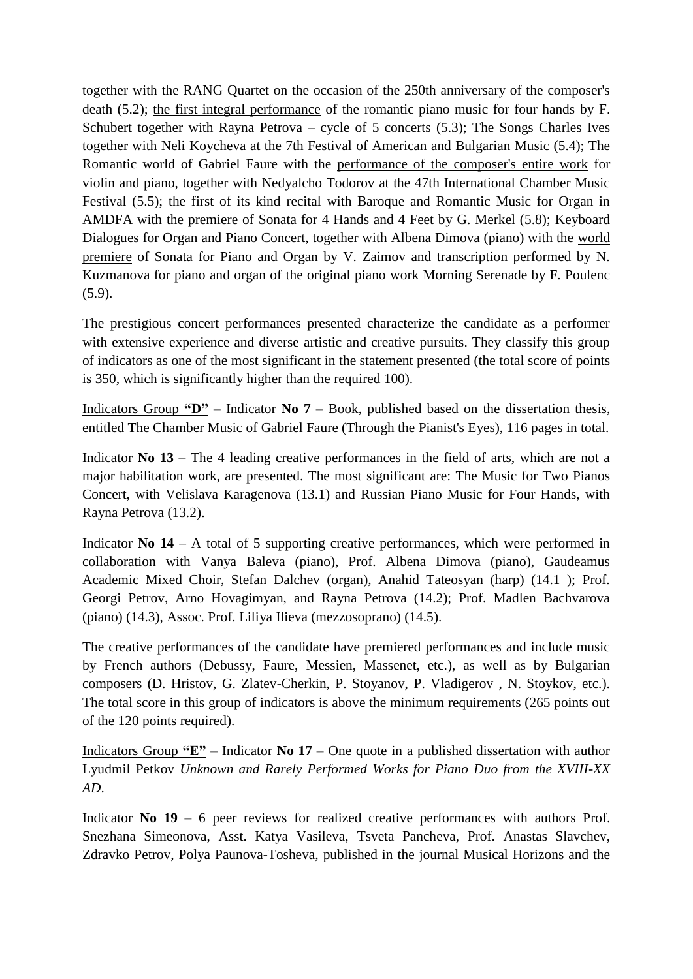together with the RANG Quartet on the occasion of the 250th anniversary of the composer's death (5.2); the first integral performance of the romantic piano music for four hands by F. Schubert together with Rayna Petrova – cycle of 5 concerts (5.3); The Songs Charles Ives together with Neli Koycheva at the 7th Festival of American and Bulgarian Music (5.4); The Romantic world of Gabriel Faure with the performance of the composer's entire work for violin and piano, together with Nedyalcho Todorov at the 47th International Chamber Music Festival (5.5); the first of its kind recital with Baroque and Romantic Music for Organ in AMDFA with the premiere of Sonata for 4 Hands and 4 Feet by G. Merkel (5.8); Keyboard Dialogues for Organ and Piano Concert, together with Albena Dimova (piano) with the world premiere of Sonata for Piano and Organ by V. Zaimov and transcription performed by N. Kuzmanova for piano and organ of the original piano work Morning Serenade by F. Poulenc (5.9).

The prestigious concert performances presented characterize the candidate as a performer with extensive experience and diverse artistic and creative pursuits. They classify this group of indicators as one of the most significant in the statement presented (the total score of points is 350, which is significantly higher than the required 100).

Indicators Group **"D"** – Indicator **No 7** – Book, published based on the dissertation thesis, entitled The Chamber Music of Gabriel Faure (Through the Pianist's Eyes), 116 pages in total.

Indicator **No 13** – The 4 leading creative performances in the field of arts, which are not a major habilitation work, are presented. The most significant are: The Music for Two Pianos Concert, with Velislava Karagenova (13.1) and Russian Piano Music for Four Hands, with Rayna Petrova (13.2).

Indicator **No 14** – A total of 5 supporting creative performances, which were performed in collaboration with Vanya Baleva (piano), Prof. Albena Dimova (piano), Gaudeamus Academic Mixed Choir, Stefan Dalchev (organ), Anahid Tateosyan (harp) (14.1 ); Prof. Georgi Petrov, Arno Hovagimyan, and Rayna Petrova (14.2); Prof. Madlen Bachvarova (piano) (14.3), Assoc. Prof. Liliya Ilieva (mezzosoprano) (14.5).

The creative performances of the candidate have premiered performances and include music by French authors (Debussy, Faure, Messien, Massenet, etc.), as well as by Bulgarian composers (D. Hristov, G. Zlatev-Cherkin, P. Stoyanov, P. Vladigerov , N. Stoykov, etc.). The total score in this group of indicators is above the minimum requirements (265 points out of the 120 points required).

Indicators Group **"E"** – Indicator **No 17** – One quote in a published dissertation with author Lyudmil Petkov *Unknown and Rarely Performed Works for Piano Duo from the XVIII-XX AD*.

Indicator **No 19** – 6 peer reviews for realized creative performances with authors Prof. Snezhana Simeonova, Asst. Katya Vasileva, Tsveta Pancheva, Prof. Anastas Slavchev, Zdravko Petrov, Polya Paunova-Tosheva, published in the journal Musical Horizons and the